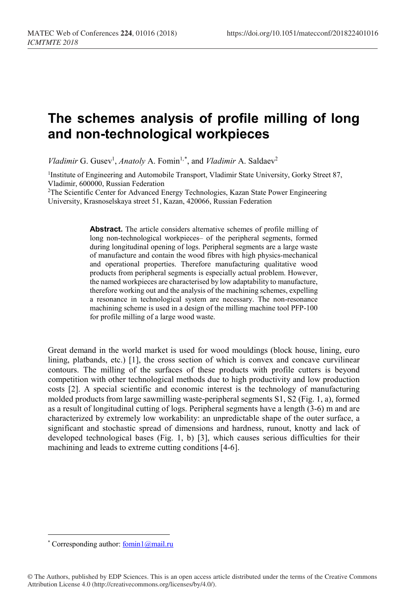## **The schemes analysis of profile milling of long and non-technological workpieces**

*Vladimir* G. Gusev<sup>1</sup>, *Anatoly* A. Fomin<sup>1,[\\*](#page-0-0)</sup>, and *Vladimir* A. Saldaev<sup>2</sup>

<sup>1</sup>Institute of Engineering and Automobile Transport, Vladimir State University, Gorky Street 87, Vladimir, 600000, Russian Federation

2The Scientific Center for Advanced Energy Technologies, Kazan State Power Engineering University, Krasnoselskaya street 51, Kazan, 420066, Russian Federation

> **Abstract.** The article considers alternative schemes of profile milling of long non-technological workpieces– of the peripheral segments, formed during longitudinal opening of logs. Peripheral segments are a large waste of manufacture and contain the wood fibres with high physics-mechanical and operational properties. Therefore manufacturing qualitative wood products from peripheral segments is especially actual problem. However, the named workpieces are characterised by low adaptability to manufacture, therefore working out and the analysis of the machining schemes, expelling a resonance in technological system are necessary. The non-resonance machining scheme is used in a design of the milling machine tool PFP-100 for profile milling of a large wood waste.

Great demand in the world market is used for wood mouldings (block house, lining, euro lining, platbands, etc.) [1], the cross section of which is convex and concave curvilinear contours. The milling of the surfaces of these products with profile cutters is beyond competition with other technological methods due to high productivity and low production costs [2]. A special scientific and economic interest is the technology of manufacturing molded products from large sawmilling waste-peripheral segments S1, S2 (Fig. 1, a), formed as a result of longitudinal cutting of logs. Peripheral segments have a length (3-6) m and are characterized by extremely low workability: an unpredictable shape of the outer surface, a significant and stochastic spread of dimensions and hardness, runout, knotty and lack of developed technological bases (Fig. 1, b) [3], which causes serious difficulties for their machining and leads to extreme cutting conditions [4-6].

 $\overline{a}$ 

<span id="page-0-0"></span><sup>\*</sup> Corresponding author: fomin1@mail.ru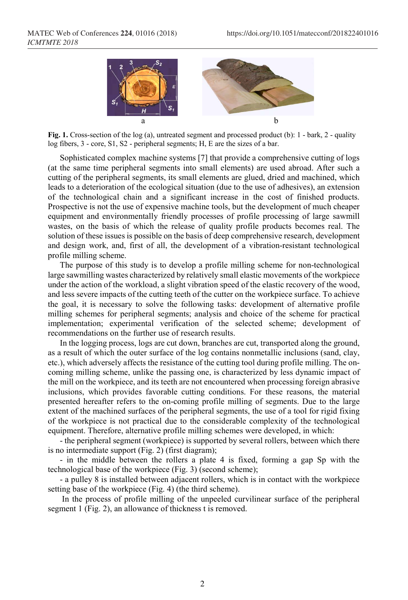

Fig. 1. Cross-section of the log (a), untreated segment and processed product (b): 1 - bark, 2 - quality log fibers, 3 - core, S1, S2 - peripheral segments; H, E are the sizes of a bar.

Sophisticated complex machine systems [7] that provide a comprehensive cutting of logs (at the same time peripheral segments into small elements) are used abroad. After such a cutting of the peripheral segments, its small elements are glued, dried and machined, which leads to a deterioration of the ecological situation (due to the use of adhesives), an extension of the technological chain and a significant increase in the cost of finished products. Prospective is not the use of expensive machine tools, but the development of much cheaper equipment and environmentally friendly processes of profile processing of large sawmill wastes, on the basis of which the release of quality profile products becomes real. The solution of these issues is possible on the basis of deep comprehensive research, development and design work, and, first of all, the development of a vibration-resistant technological profile milling scheme.

The purpose of this study is to develop a profile milling scheme for non-technological large sawmilling wastes characterized by relatively small elastic movements of the workpiece under the action of the workload, a slight vibration speed of the elastic recovery of the wood, and less severe impacts of the cutting teeth of the cutter on the workpiece surface. To achieve the goal, it is necessary to solve the following tasks: development of alternative profile milling schemes for peripheral segments; analysis and choice of the scheme for practical implementation; experimental verification of the selected scheme; development of recommendations on the further use of research results.

In the logging process, logs are cut down, branches are cut, transported along the ground, as a result of which the outer surface of the log contains nonmetallic inclusions (sand, clay, etc.), which adversely affects the resistance of the cutting tool during profile milling. The oncoming milling scheme, unlike the passing one, is characterized by less dynamic impact of the mill on the workpiece, and its teeth are not encountered when processing foreign abrasive inclusions, which provides favorable cutting conditions. For these reasons, the material presented hereafter refers to the on-coming profile milling of segments. Due to the large extent of the machined surfaces of the peripheral segments, the use of a tool for rigid fixing of the workpiece is not practical due to the considerable complexity of the technological equipment. Therefore, alternative profile milling schemes were developed, in which:

- the peripheral segment (workpiece) is supported by several rollers, between which there is no intermediate support (Fig. 2) (first diagram);

- in the middle between the rollers a plate 4 is fixed, forming a gap Sp with the technological base of the workpiece (Fig. 3) (second scheme);

- a pulley 8 is installed between adjacent rollers, which is in contact with the workpiece setting base of the workpiece (Fig. 4) (the third scheme).

In the process of profile milling of the unpeeled curvilinear surface of the peripheral segment 1 (Fig. 2), an allowance of thickness t is removed.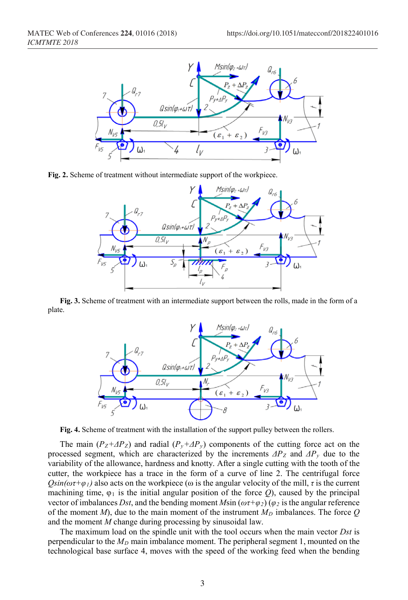

**Fig. 2.** Scheme of treatment without intermediate support of the workpiece.



**Fig. 3.** Scheme of treatment with an intermediate support between the rolls, made in the form of a plate.



**Fig. 4.** Scheme of treatment with the installation of the support pulley between the rollers.

The main  $(P_Z + \Delta P_Z)$  and radial  $(P_y + \Delta P_y)$  components of the cutting force act on the processed segment, which are characterized by the increments  $\Delta P_Z$  and  $\Delta P_y$  due to the variability of the allowance, hardness and knotty. After a single cutting with the tooth of the cutter, the workpiece has a trace in the form of a curve of line 2. The centrifugal force  $Qsin(\omega \tau + \varphi_l)$  also acts on the workpiece ( $\omega$  is the angular velocity of the mill,  $\tau$  is the current machining time,  $\varphi_1$  is the initial angular position of the force *Q*), caused by the principal vector of imbalances *Dst*, and the bending moment  $M\sin(\omega \tau + \varphi_2)(\varphi_2)$  is the angular reference of the moment  $M$ ), due to the main moment of the instrument  $M_D$  imbalances. The force  $Q$ and the moment *M* change during processing by sinusoidal law.

The maximum load on the spindle unit with the tool occurs when the main vector *Dst* is perpendicular to the  $M_D$  main imbalance moment. The peripheral segment 1, mounted on the technological base surface 4, moves with the speed of the working feed when the bending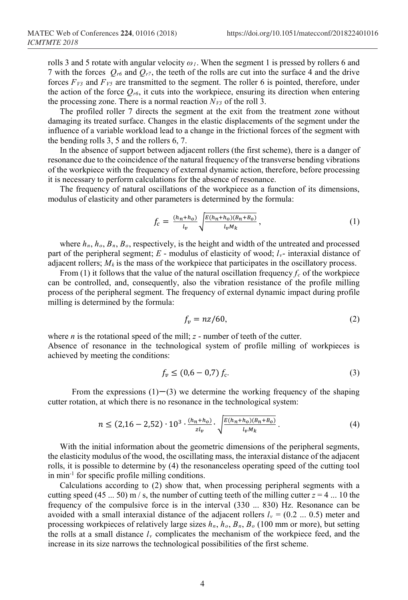rolls 3 and 5 rotate with angular velocity *ω1*. When the segment 1 is pressed by rollers 6 and 7 with the forces  $Q_{r6}$  and  $Q_{r7}$ , the teeth of the rolls are cut into the surface 4 and the drive forces  $F_{V3}$  and  $F_{V5}$  are transmitted to the segment. The roller 6 is pointed, therefore, under the action of the force  $Q_{r6}$ , it cuts into the workpiece, ensuring its direction when entering the processing zone. There is a normal reaction  $N_{V3}$  of the roll 3.

The profiled roller 7 directs the segment at the exit from the treatment zone without damaging its treated surface. Changes in the elastic displacements of the segment under the influence of a variable workload lead to a change in the frictional forces of the segment with the bending rolls 3, 5 and the rollers 6, 7.

In the absence of support between adjacent rollers (the first scheme), there is a danger of resonance due to the coincidence of the natural frequency of the transverse bending vibrations of the workpiece with the frequency of external dynamic action, therefore, before processing it is necessary to perform calculations for the absence of resonance.

The frequency of natural oscillations of the workpiece as a function of its dimensions, modulus of elasticity and other parameters is determined by the formula:

$$
f_c = \frac{(h_n + h_o)}{l_v} \sqrt{\frac{E(h_n + h_o)(B_n + B_o)}{l_v M_k}},
$$
\n(1)

where  $h_n$ ,  $h_o$ ,  $B_n$ ,  $B_o$ , respectively, is the height and width of the untreated and processed part of the peripheral segment;  $E$  - modulus of elasticity of wood;  $l_v$ - interaxial distance of adjacent rollers;  $M_k$  is the mass of the workpiece that participates in the oscillatory process.

From (1) it follows that the value of the natural oscillation frequency  $f_c$  of the workpiece can be controlled, and, consequently, also the vibration resistance of the profile milling process of the peripheral segment. The frequency of external dynamic impact during profile milling is determined by the formula:

$$
f_v = nz/60,\tag{2}
$$

where *n* is the rotational speed of the mill; *z* - number of teeth of the cutter. Absence of resonance in the technological system of profile milling of workpieces is achieved by meeting the conditions:

$$
f_v \le (0.6 - 0.7) f_c. \tag{3}
$$

From the expressions  $(1)$ − $(3)$  we determine the working frequency of the shaping cutter rotation, at which there is no resonance in the technological system:

$$
n \le (2, 16 - 2, 52) \cdot 10^3 \cdot \frac{(h_n + h_o)}{z l_v} \cdot \sqrt{\frac{E(h_n + h_o)(B_n + B_o)}{l_v M_k}} \,. \tag{4}
$$

With the initial information about the geometric dimensions of the peripheral segments, the elasticity modulus of the wood, the oscillating mass, the interaxial distance of the adjacent rolls, it is possible to determine by (4) the resonanceless operating speed of the cutting tool in min-1 for specific profile milling conditions.

Calculations according to (2) show that, when processing peripheral segments with a cutting speed (45 ... 50) m  $/$  s, the number of cutting teeth of the milling cutter  $z = 4$  ... 10 the frequency of the compulsive force is in the interval (330 ... 830) Hz. Resonance can be avoided with a small interaxial distance of the adjacent rollers  $l_v = (0.2 \dots 0.5)$  meter and processing workpieces of relatively large sizes *hn*, *ho*, *Bn*, *Bo* (100 mm or more), but setting the rolls at a small distance  $l_v$  complicates the mechanism of the workpiece feed, and the increase in its size narrows the technological possibilities of the first scheme.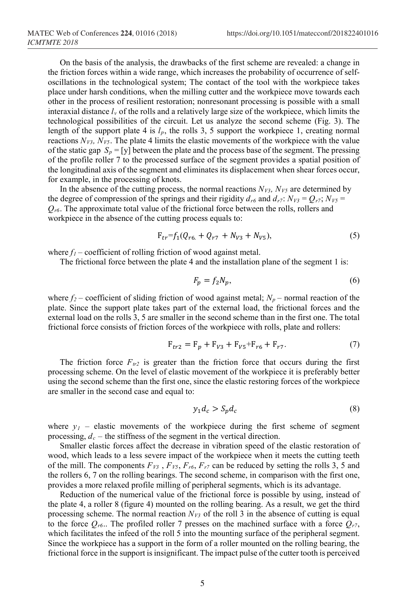On the basis of the analysis, the drawbacks of the first scheme are revealed: a change in the friction forces within a wide range, which increases the probability of occurrence of selfoscillations in the technological system; The contact of the tool with the workpiece takes place under harsh conditions, when the milling cutter and the workpiece move towards each other in the process of resilient restoration; nonresonant processing is possible with a small interaxial distance  $l<sub>v</sub>$  of the rolls and a relatively large size of the workpiece, which limits the technological possibilities of the circuit. Let us analyze the second scheme (Fig. 3). The length of the support plate 4 is *lp*, the rolls 3, 5 support the workpiece 1, creating normal reactions  $N_{V3}$ ,  $N_{V5}$ . The plate 4 limits the elastic movements of the workpiece with the value of the static gap  $S_p = [y]$  between the plate and the process base of the segment. The pressing of the profile roller 7 to the processed surface of the segment provides a spatial position of the longitudinal axis of the segment and eliminates its displacement when shear forces occur, for example, in the processing of knots.

In the absence of the cutting process, the normal reactions  $N_{V3}$ ,  $N_{V5}$  are determined by the degree of compression of the springs and their rigidity  $d_{r6}$  and  $d_{r7}$ :  $N_{V3} = Q_{r7}$ ;  $N_{V5} =$  $Q_{r6}$ . The approximate total value of the frictional force between the rolls, rollers and workpiece in the absence of the cutting process equals to:

$$
F_{tr}=f_1(Q_{r6.} + Q_{r7} + N_{V3} + N_{V5}),
$$
\n(5)

where  $f_1$  – coefficient of rolling friction of wood against metal.

The frictional force between the plate 4 and the installation plane of the segment 1 is:

$$
F_p = f_2 N_p,\tag{6}
$$

where  $f_2$  – coefficient of sliding friction of wood against metal;  $N_p$  – normal reaction of the plate. Since the support plate takes part of the external load, the frictional forces and the external load on the rolls 3, 5 are smaller in the second scheme than in the first one. The total frictional force consists of friction forces of the workpiece with rolls, plate and rollers:

$$
F_{tr2} = F_p + F_{V3} + F_{V5} + F_{r6} + F_{r7}.
$$
 (7)

The friction force  $F_{tr2}$  is greater than the friction force that occurs during the first processing scheme. On the level of elastic movement of the workpiece it is preferably better using the second scheme than the first one, since the elastic restoring forces of the workpiece are smaller in the second case and equal to:

$$
y_1 d_c > S_p d_c \tag{8}
$$

where  $y_1$  – elastic movements of the workpiece during the first scheme of segment processing,  $d_c$  – the stiffness of the segment in the vertical direction.

Smaller elastic forces affect the decrease in vibration speed of the elastic restoration of wood, which leads to a less severe impact of the workpiece when it meets the cutting teeth of the mill. The components  $F_{V3}$ ,  $F_{V5}$ ,  $F_{r6}$ ,  $F_{r7}$  can be reduced by setting the rolls 3, 5 and the rollers 6, 7 on the rolling bearings. The second scheme, in comparison with the first one, provides a more relaxed profile milling of peripheral segments, which is its advantage.

Reduction of the numerical value of the frictional force is possible by using, instead of the plate 4, a roller 8 (figure 4) mounted on the rolling bearing. As a result, we get the third processing scheme. The normal reaction  $N_{V3}$  of the roll 3 in the absence of cutting is equal to the force  $Q_{r6}$ .. The profiled roller 7 presses on the machined surface with a force  $Q_{r7}$ , which facilitates the infeed of the roll 5 into the mounting surface of the peripheral segment. Since the workpiece has a support in the form of a roller mounted on the rolling bearing, the frictional force in the support is insignificant. The impact pulse of the cutter tooth is perceived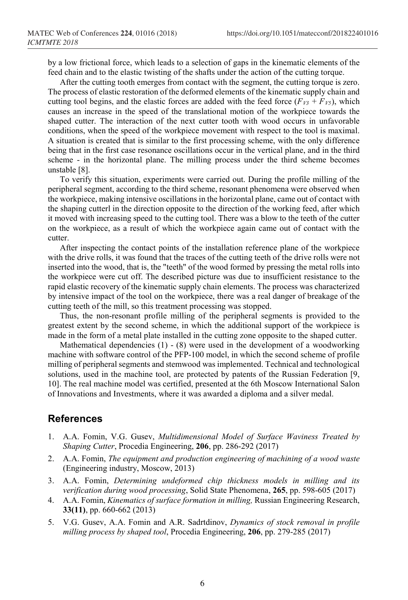by a low frictional force, which leads to a selection of gaps in the kinematic elements of the feed chain and to the elastic twisting of the shafts under the action of the cutting torque.

After the cutting tooth emerges from contact with the segment, the cutting torque is zero. The process of elastic restoration of the deformed elements of the kinematic supply chain and cutting tool begins, and the elastic forces are added with the feed force  $(F_{V3} + F_{V5})$ , which causes an increase in the speed of the translational motion of the workpiece towards the shaped cutter. The interaction of the next cutter tooth with wood occurs in unfavorable conditions, when the speed of the workpiece movement with respect to the tool is maximal. A situation is created that is similar to the first processing scheme, with the only difference being that in the first case resonance oscillations occur in the vertical plane, and in the third scheme - in the horizontal plane. The milling process under the third scheme becomes unstable [8].

To verify this situation, experiments were carried out. During the profile milling of the peripheral segment, according to the third scheme, resonant phenomena were observed when the workpiece, making intensive oscillations in the horizontal plane, came out of contact with the shaping cutterl in the direction opposite to the direction of the working feed, after which it moved with increasing speed to the cutting tool. There was a blow to the teeth of the cutter on the workpiece, as a result of which the workpiece again came out of contact with the cutter.

After inspecting the contact points of the installation reference plane of the workpiece with the drive rolls, it was found that the traces of the cutting teeth of the drive rolls were not inserted into the wood, that is, the "teeth" of the wood formed by pressing the metal rolls into the workpiece were cut off. The described picture was due to insufficient resistance to the rapid elastic recovery of the kinematic supply chain elements. The process was characterized by intensive impact of the tool on the workpiece, there was a real danger of breakage of the cutting teeth of the mill, so this treatment processing was stopped.

Thus, the non-resonant profile milling of the peripheral segments is provided to the greatest extent by the second scheme, in which the additional support of the workpiece is made in the form of a metal plate installed in the cutting zone opposite to the shaped cutter.

Mathematical dependencies  $(1) - (8)$  were used in the development of a woodworking machine with software control of the PFP-100 model, in which the second scheme of profile milling of peripheral segments and stemwood was implemented. Technical and technological solutions, used in the machine tool, are protected by patents of the Russian Federation [9, 10]. The real machine model was certified, presented at the 6th Moscow International Salon of Innovations and Investments, where it was awarded a diploma and a silver medal.

## **References**

- 1. A.A. Fomin, V.G. Gusev, *Multidimensional Model of Surface Waviness Treated by Shaping Cutter*, Procedia Engineering, **206**, pp. 286-292 (2017)
- 2. A.A. Fomin, *The equipment and production engineering of machining of a wood waste* (Engineering industry, Мoscow, 2013)
- 3. A.A. Fomin, *Determining undeformed chip thickness models in milling and its verification during wood processing*, Solid State Phenomena, **265**, pp. 598-605 (2017)
- 4. A.A. Fomin, *Kinematics of surface formation in milling,* Russian Engineering Research, **33(11)**, pp. 660-662 (2013)
- 5. V.G. Gusev, A.A. Fomin and A.R. Sadrtdinov, *Dynamics of stock removal in profile milling process by shaped tool*, Procedia Engineering, **206**, pp. 279-285 (2017)